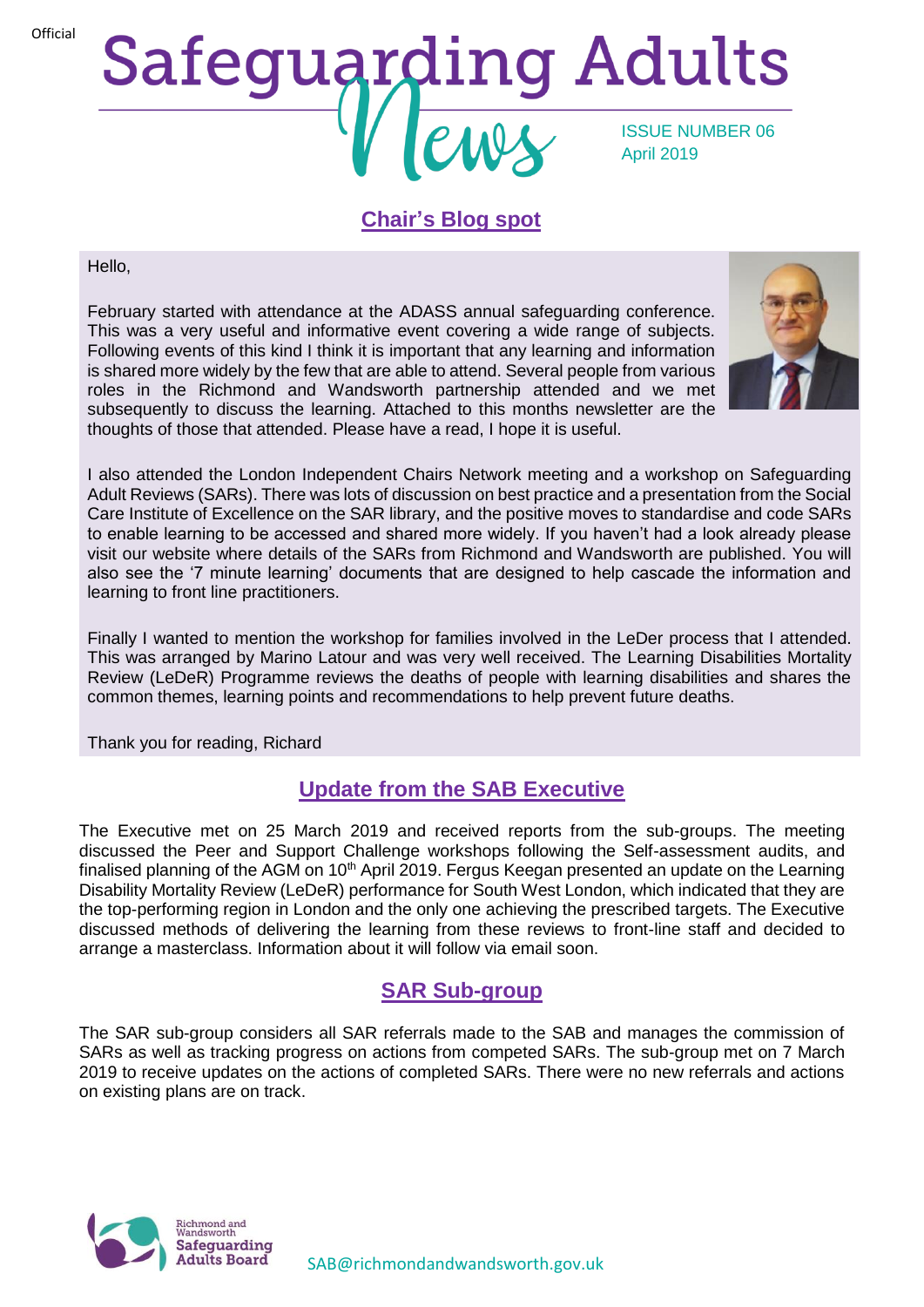**Official** 

# **Safeguarding Adults** ISSUE NUMBER 06 April 2019

## **Chair's Blog spot**

Hello,

February started with attendance at the ADASS annual safeguarding conference. This was a very useful and informative event covering a wide range of subjects. Following events of this kind I think it is important that any learning and information is shared more widely by the few that are able to attend. Several people from various roles in the Richmond and Wandsworth partnership attended and we met subsequently to discuss the learning. Attached to this months newsletter are the thoughts of those that attended. Please have a read, I hope it is useful.



I also attended the London Independent Chairs Network meeting and a workshop on Safeguarding Adult Reviews (SARs). There was lots of discussion on best practice and a presentation from the Social Care Institute of Excellence on the SAR library, and the positive moves to standardise and code SARs to enable learning to be accessed and shared more widely. If you haven't had a look already please visit our website where details of the SARs from Richmond and Wandsworth are published. You will also see the '7 minute learning' documents that are designed to help cascade the information and learning to front line practitioners.

Finally I wanted to mention the workshop for families involved in the LeDer process that I attended. This was arranged by Marino Latour and was very well received. The Learning Disabilities Mortality Review (LeDeR) Programme reviews the deaths of people with learning disabilities and shares the common themes, learning points and recommendations to help prevent future deaths.

Thank you for reading, Richard

## **Update from the SAB Executive**

The Executive met on 25 March 2019 and received reports from the sub-groups. The meeting discussed the Peer and Support Challenge workshops following the Self-assessment audits, and finalised planning of the AGM on  $10<sup>th</sup>$  April 2019. Fergus Keegan presented an update on the Learning Disability Mortality Review (LeDeR) performance for South West London, which indicated that they are the top-performing region in London and the only one achieving the prescribed targets. The Executive discussed methods of delivering the learning from these reviews to front-line staff and decided to arrange a masterclass. Information about it will follow via email soon.

# **SAR Sub-group**

The SAR sub-group considers all SAR referrals made to the SAB and manages the commission of SARs as well as tracking progress on actions from competed SARs. The sub-group met on 7 March 2019 to receive updates on the actions of completed SARs. There were no new referrals and actions on existing plans are on track.

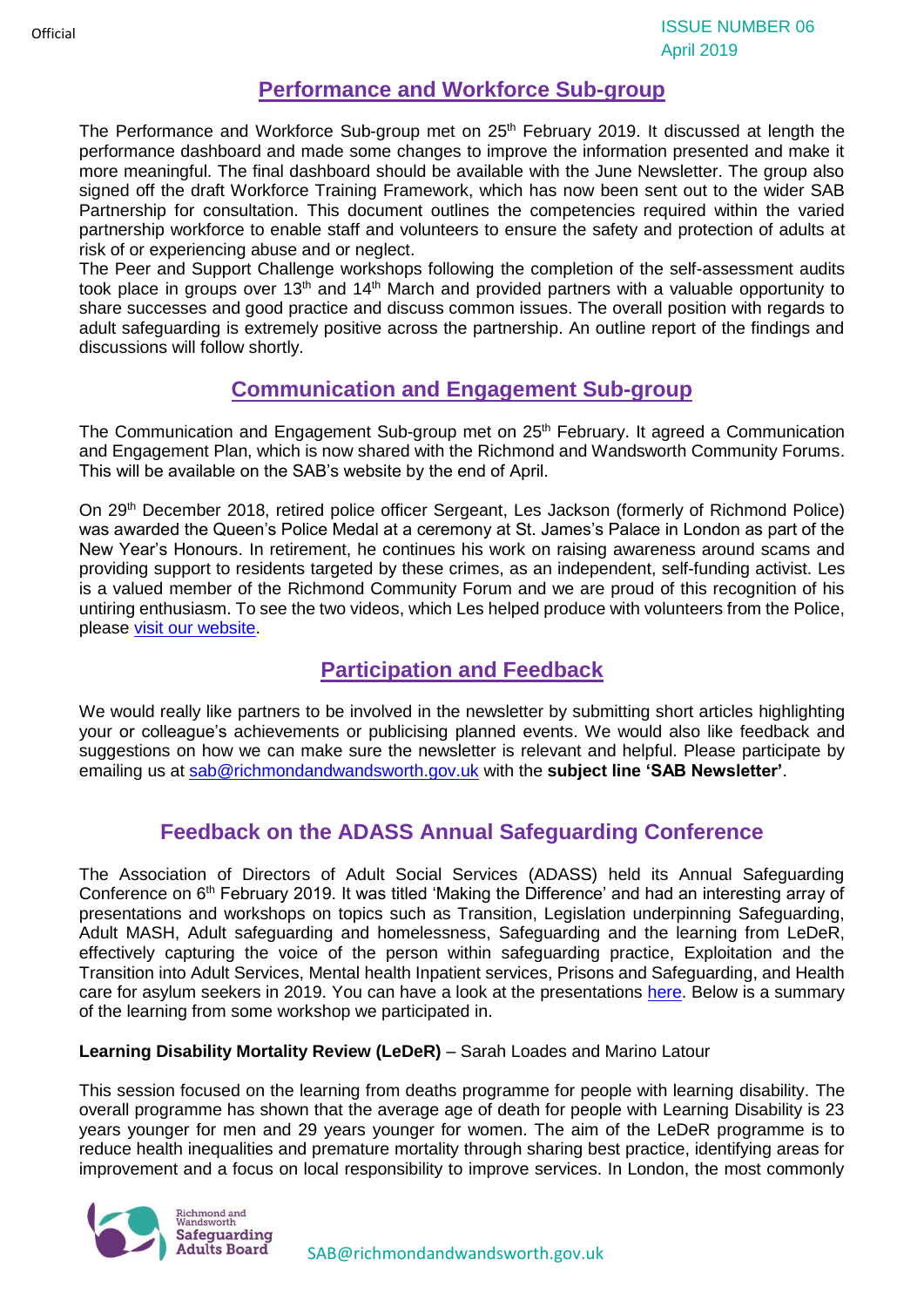## **Performance and Workforce Sub-group**

The Performance and Workforce Sub-group met on 25<sup>th</sup> February 2019. It discussed at length the performance dashboard and made some changes to improve the information presented and make it more meaningful. The final dashboard should be available with the June Newsletter. The group also signed off the draft Workforce Training Framework, which has now been sent out to the wider SAB Partnership for consultation. This document outlines the competencies required within the varied partnership workforce to enable staff and volunteers to ensure the safety and protection of adults at risk of or experiencing abuse and or neglect.

The Peer and Support Challenge workshops following the completion of the self-assessment audits took place in groups over 13<sup>th</sup> and 14<sup>th</sup> March and provided partners with a valuable opportunity to share successes and good practice and discuss common issues. The overall position with regards to adult safeguarding is extremely positive across the partnership. An outline report of the findings and discussions will follow shortly.

## **Communication and Engagement Sub-group**

The Communication and Engagement Sub-group met on 25<sup>th</sup> February. It agreed a Communication and Engagement Plan, which is now shared with the Richmond and Wandsworth Community Forums. This will be available on the SAB's website by the end of April.

On 29<sup>th</sup> December 2018, retired police officer Sergeant, Les Jackson (formerly of Richmond Police) was awarded the Queen's Police Medal at a ceremony at St. James's Palace in London as part of the New Year's Honours. In retirement, he continues his work on raising awareness around scams and providing support to residents targeted by these crimes, as an independent, self-funding activist. Les is a valued member of the Richmond Community Forum and we are proud of this recognition of his untiring enthusiasm. To see the two videos, which Les helped produce with volunteers from the Police, please [visit our website.](https://www.richmond.gov.uk/council/how_we_work/partnerships/sab/safeguarding_adults_board_resources#videos)

# **Participation and Feedback**

We would really like partners to be involved in the newsletter by submitting short articles highlighting your or colleague's achievements or publicising planned events. We would also like feedback and suggestions on how we can make sure the newsletter is relevant and helpful. Please participate by emailing us at [sab@richmondandwandsworth.gov.uk](mailto:sab@richmondandwandsworth.gov.uk) with the **subject line 'SAB Newsletter'**.

# **Feedback on the ADASS Annual Safeguarding Conference**

The Association of Directors of Adult Social Services (ADASS) held its Annual Safeguarding Conference on 6<sup>th</sup> February 2019. It was titled 'Making the Difference' and had an interesting array of presentations and workshops on topics such as Transition, Legislation underpinning Safeguarding, Adult MASH, Adult safeguarding and homelessness, Safeguarding and the learning from LeDeR, effectively capturing the voice of the person within safeguarding practice, Exploitation and the Transition into Adult Services, Mental health Inpatient services, Prisons and Safeguarding, and Health care for asylum seekers in 2019. You can have a look at the presentations [here.](https://londonadass.org.uk/events/15135/) Below is a summary of the learning from some workshop we participated in.

## **Learning Disability Mortality Review (LeDeR)** – Sarah Loades and Marino Latour

This session focused on the learning from deaths programme for people with learning disability. The overall programme has shown that the average age of death for people with Learning Disability is 23 years younger for men and 29 years younger for women. The aim of the LeDeR programme is to reduce health inequalities and premature mortality through sharing best practice, identifying areas for improvement and a focus on local responsibility to improve services. In London, the most commonly